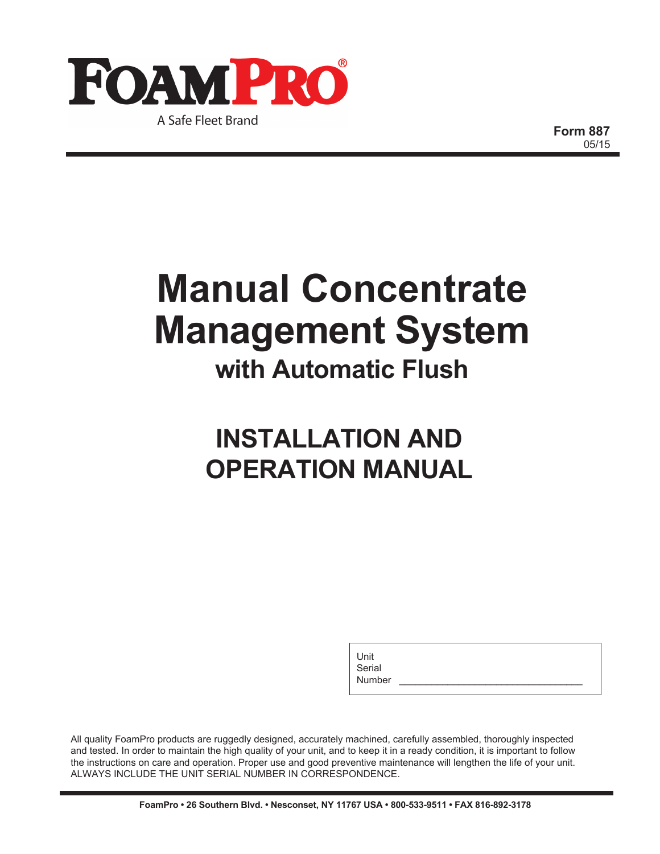

**Form 887** 05/15

## **Manual Concentrate Management System with Automatic Flush**

## **INSTALLATION AND OPERATION MANUAL**

Unit Serial

Number

All quality FoamPro products are ruggedly designed, accurately machined, carefully assembled, thoroughly inspected and tested. In order to maintain the high quality of your unit, and to keep it in a ready condition, it is important to follow the instructions on care and operation. Proper use and good preventive maintenance will lengthen the life of your unit. ALWAYS INCLUDE THE UNIT SERIAL NUMBER IN CORRESPONDENCE.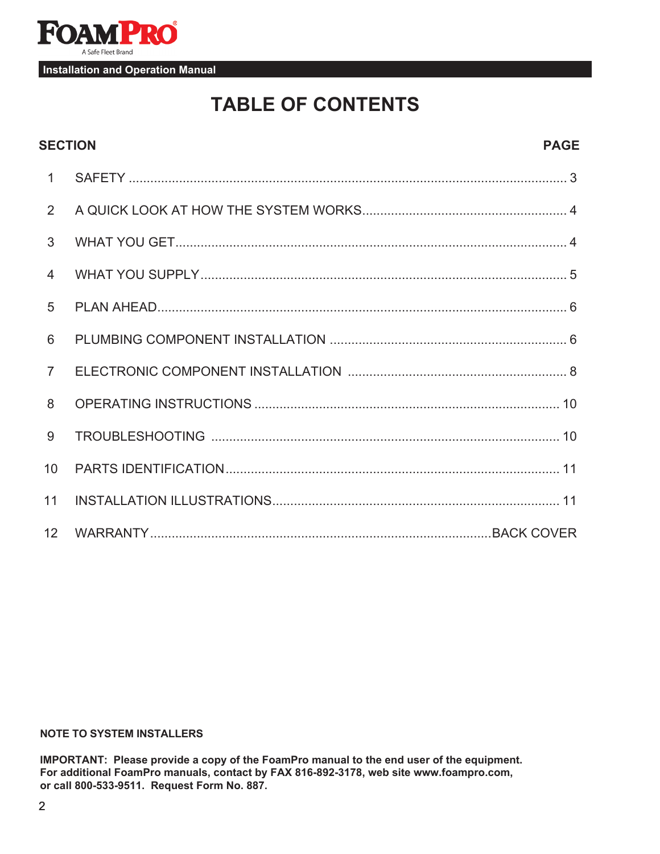

## **TABLE OF CONTENTS**

| <b>SECTION</b><br><b>PAGE</b> |  |  |
|-------------------------------|--|--|
| $\mathbf{1}$                  |  |  |
| 2                             |  |  |
| 3                             |  |  |
| $\overline{4}$                |  |  |
| 5                             |  |  |
| 6                             |  |  |
| $\overline{7}$                |  |  |
| 8                             |  |  |
| 9                             |  |  |
| 10                            |  |  |
| 11                            |  |  |
| 12                            |  |  |

#### **NOTE TO SYSTEM INSTALLERS**

**IMPORTANT: Please provide a copy of the FoamPro manual to the end user of the equipment. For additional FoamPro manuals, contact by FAX 816-892-3178, web site www.foampro.com, or call 800-533-9511. Request Form No. 887.**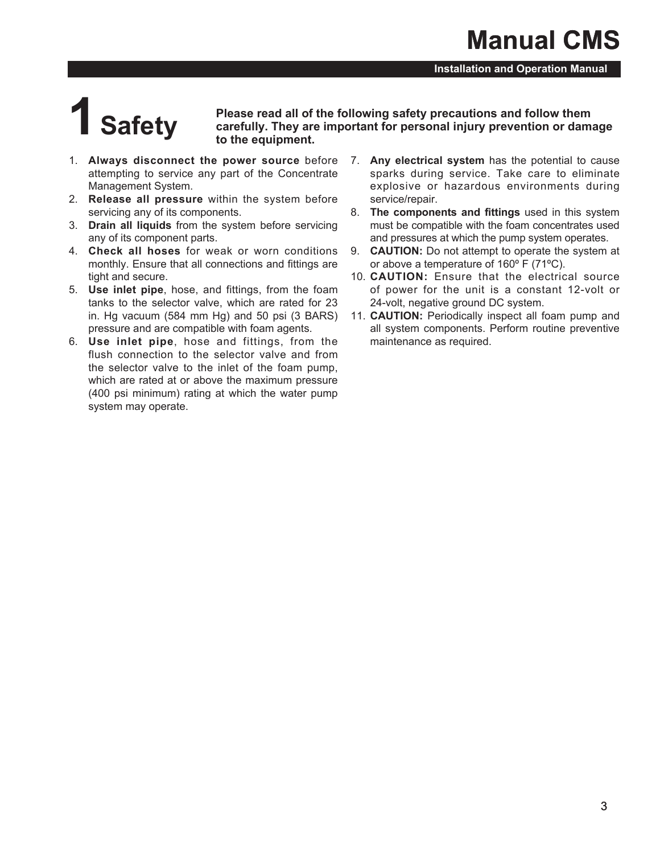# **1Safety**

**Please read all of the following safety precautions and follow them carefully. They are important for personal injury prevention or damage to the equipment.**

- attempting to service any part of the Concentrate Management System.
- 2. **Release all pressure** within the system before servicing any of its components.
- 3. **Drain all liquids** from the system before servicing any of its component parts.
- 4. **Check all hoses** for weak or worn conditions monthly. Ensure that all connections and fittings are tight and secure.
- 5. **Use inlet pipe**, hose, and fittings, from the foam tanks to the selector valve, which are rated for 23 in. Hg vacuum (584 mm Hg) and 50 psi (3 BARS) pressure and are compatible with foam agents.
- 6. **Use inlet pipe**, hose and fittings, from the flush connection to the selector valve and from the selector valve to the inlet of the foam pump, which are rated at or above the maximum pressure (400 psi minimum) rating at which the water pump system may operate.
- 1. **Always disconnect the power source** before 7. **Any electrical system** has the potential to cause sparks during service. Take care to eliminate explosive or hazardous environments during service/repair.
	- 8. **The components and fittings** used in this system must be compatible with the foam concentrates used and pressures at which the pump system operates.
	- 9. **CAUTION:** Do not attempt to operate the system at or above a temperature of 160º F (71ºC).
	- 10. **CAUTION:** Ensure that the electrical source of power for the unit is a constant 12-volt or 24-volt, negative ground DC system.
	- 11. **CAUTION:** Periodically inspect all foam pump and all system components. Perform routine preventive maintenance as required.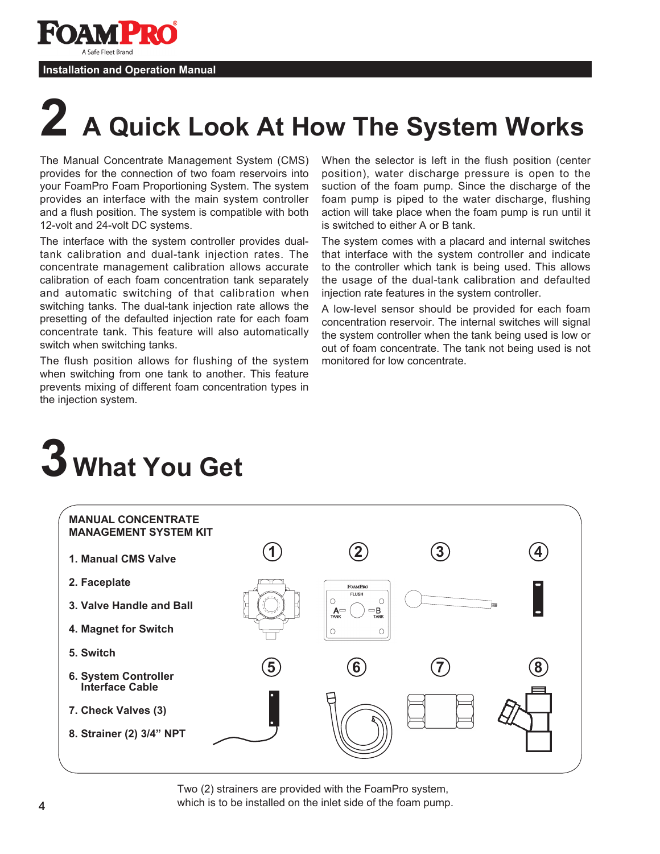**PP** A Safe Fleet Brand

#### **Installation and Operation Manual**

# **2 A Quick Look At How The System Works**

The Manual Concentrate Management System (CMS) provides for the connection of two foam reservoirs into your FoamPro Foam Proportioning System. The system provides an interface with the main system controller and a flush position. The system is compatible with both 12-volt and 24-volt DC systems.

The interface with the system controller provides dualtank calibration and dual-tank injection rates. The concentrate management calibration allows accurate calibration of each foam concentration tank separately and automatic switching of that calibration when switching tanks. The dual-tank injection rate allows the presetting of the defaulted injection rate for each foam concentrate tank. This feature will also automatically switch when switching tanks.

The flush position allows for flushing of the system when switching from one tank to another. This feature prevents mixing of different foam concentration types in the injection system.

When the selector is left in the flush position (center position), water discharge pressure is open to the suction of the foam pump. Since the discharge of the foam pump is piped to the water discharge, flushing action will take place when the foam pump is run until it is switched to either A or B tank.

The system comes with a placard and internal switches that interface with the system controller and indicate to the controller which tank is being used. This allows the usage of the dual-tank calibration and defaulted injection rate features in the system controller.

A low-level sensor should be provided for each foam concentration reservoir. The internal switches will signal the system controller when the tank being used is low or out of foam concentrate. The tank not being used is not monitored for low concentrate.





Two (2) strainers are provided with the FoamPro system, which is to be installed on the inlet side of the foam pump.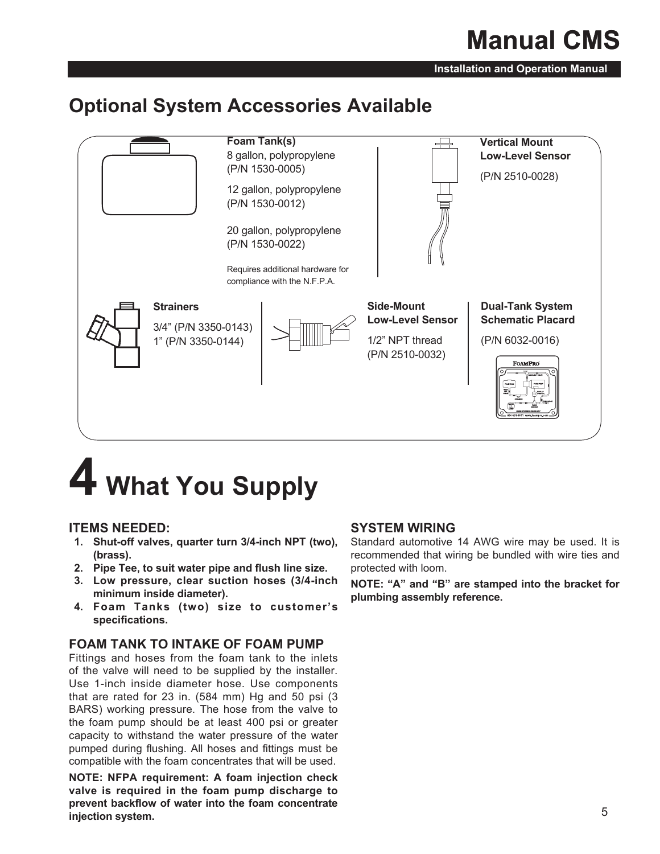## **Manual CMS**

**Installation and Operation Manual**

## **Optional System Accessories Available**



## **4 What You Supply**

#### **ITEMS NEEDED:**

- **1. Shut-off valves, quarter turn 3/4-inch NPT (two), (brass).**
- **2. Pipe Tee, to suit water pipe and flush line size.**
- **3. Low pressure, clear suction hoses (3/4-inch minimum inside diameter).**
- **4. Foam Tanks (two) size to customer's specifications.**

#### **FOAM TANK TO INTAKE OF FOAM PUMP**

Fittings and hoses from the foam tank to the inlets of the valve will need to be supplied by the installer. Use 1-inch inside diameter hose. Use components that are rated for 23 in. (584 mm) Hg and 50 psi (3 BARS) working pressure. The hose from the valve to the foam pump should be at least 400 psi or greater capacity to withstand the water pressure of the water pumped during flushing. All hoses and fittings must be compatible with the foam concentrates that will be used.

**NOTE: NFPA requirement: A foam injection check valve is required in the foam pump discharge to prevent backflow of water into the foam concentrate injection system.**

#### **SYSTEM WIRING**

Standard automotive 14 AWG wire may be used. It is recommended that wiring be bundled with wire ties and protected with loom.

**NOTE: "A" and "B" are stamped into the bracket for plumbing assembly reference.**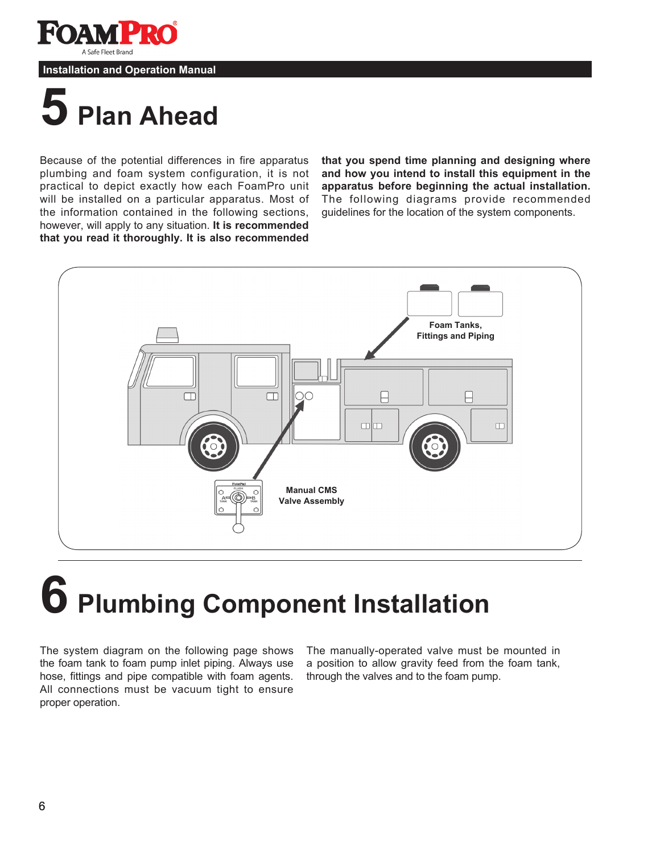A Safe Fleet Brand

#### **Installation and Operation Manual**

## **5 Plan Ahead**

Because of the potential differences in fire apparatus plumbing and foam system configuration, it is not practical to depict exactly how each FoamPro unit will be installed on a particular apparatus. Most of the information contained in the following sections, however, will apply to any situation. **It is recommended that you read it thoroughly. It is also recommended**  **that you spend time planning and designing where and how you intend to install this equipment in the apparatus before beginning the actual installation.** The following diagrams provide recommended guidelines for the location of the system components.



# **6 Plumbing Component Installation**

The system diagram on the following page shows the foam tank to foam pump inlet piping. Always use hose, fittings and pipe compatible with foam agents. All connections must be vacuum tight to ensure proper operation.

The manually-operated valve must be mounted in a position to allow gravity feed from the foam tank, through the valves and to the foam pump.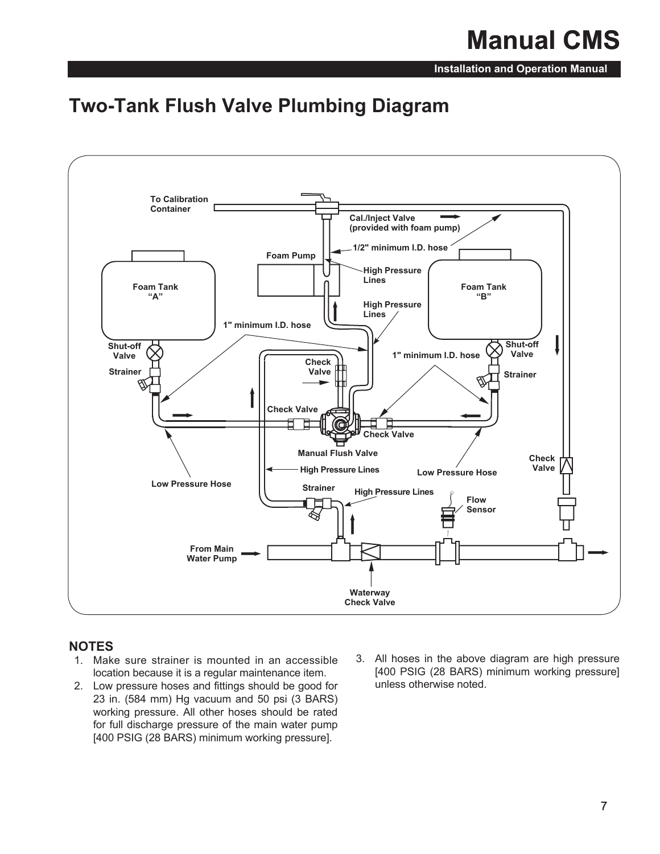## **Manual CMS**

**Installation and Operation Manual**

### **Two-Tank Flush Valve Plumbing Diagram**



#### **NOTES**

- 1. Make sure strainer is mounted in an accessible location because it is a regular maintenance item.
- 2. Low pressure hoses and fittings should be good for 23 in. (584 mm) Hg vacuum and 50 psi (3 BARS) working pressure. All other hoses should be rated for full discharge pressure of the main water pump [400 PSIG (28 BARS) minimum working pressure].
- 3. All hoses in the above diagram are high pressure [400 PSIG (28 BARS) minimum working pressure] unless otherwise noted.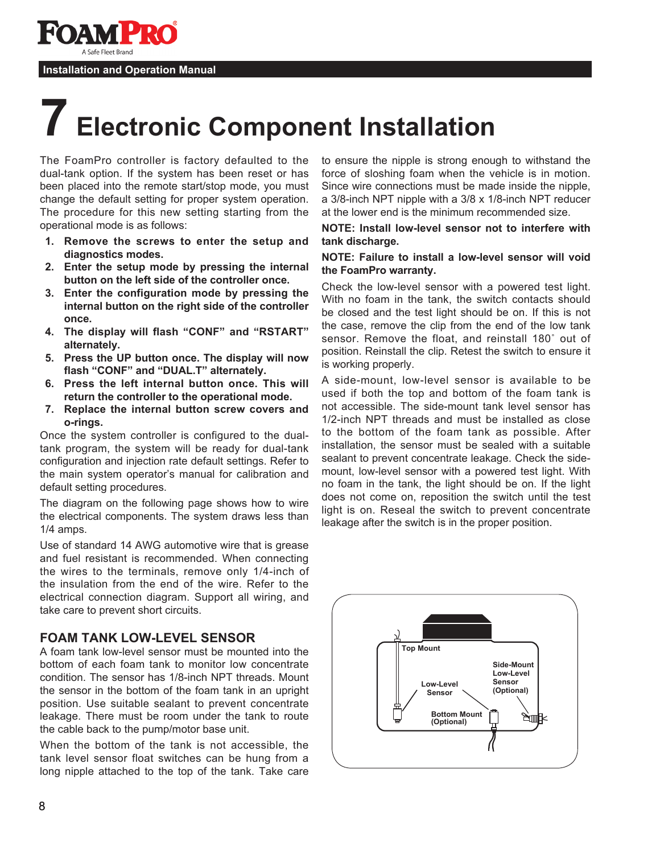

## **7 Electronic Component Installation**

The FoamPro controller is factory defaulted to the dual-tank option. If the system has been reset or has been placed into the remote start/stop mode, you must change the default setting for proper system operation. The procedure for this new setting starting from the operational mode is as follows:

- **1. Remove the screws to enter the setup and diagnostics modes.**
- **2. Enter the setup mode by pressing the internal button on the left side of the controller once.**
- **3. Enter the configuration mode by pressing the internal button on the right side of the controller once.**
- **4. The display will flash "CONF" and "RSTART" alternately.**
- **5. Press the UP button once. The display will now flash "CONF" and "DUAL.T" alternately.**
- **6. Press the left internal button once. This will return the controller to the operational mode.**
- **7. Replace the internal button screw covers and o-rings.**

Once the system controller is configured to the dualtank program, the system will be ready for dual-tank configuration and injection rate default settings. Refer to the main system operator's manual for calibration and default setting procedures.

The diagram on the following page shows how to wire the electrical components. The system draws less than 1/4 amps.

Use of standard 14 AWG automotive wire that is grease and fuel resistant is recommended. When connecting the wires to the terminals, remove only 1/4-inch of the insulation from the end of the wire. Refer to the electrical connection diagram. Support all wiring, and take care to prevent short circuits.

#### **FOAM TANK LOW-LEVEL SENSOR**

A foam tank low-level sensor must be mounted into the bottom of each foam tank to monitor low concentrate condition. The sensor has 1/8-inch NPT threads. Mount the sensor in the bottom of the foam tank in an upright position. Use suitable sealant to prevent concentrate leakage. There must be room under the tank to route the cable back to the pump/motor base unit.

When the bottom of the tank is not accessible, the tank level sensor float switches can be hung from a long nipple attached to the top of the tank. Take care to ensure the nipple is strong enough to withstand the force of sloshing foam when the vehicle is in motion. Since wire connections must be made inside the nipple, a 3/8-inch NPT nipple with a 3/8 x 1/8-inch NPT reducer at the lower end is the minimum recommended size.

#### **NOTE: Install low-level sensor not to interfere with tank discharge.**

#### **NOTE: Failure to install a low-level sensor will void the FoamPro warranty.**

Check the low-level sensor with a powered test light. With no foam in the tank, the switch contacts should be closed and the test light should be on. If this is not the case, remove the clip from the end of the low tank sensor. Remove the float, and reinstall 180˚ out of position. Reinstall the clip. Retest the switch to ensure it is working properly.

A side-mount, low-level sensor is available to be used if both the top and bottom of the foam tank is not accessible. The side-mount tank level sensor has 1/2-inch NPT threads and must be installed as close to the bottom of the foam tank as possible. After installation, the sensor must be sealed with a suitable sealant to prevent concentrate leakage. Check the sidemount, low-level sensor with a powered test light. With no foam in the tank, the light should be on. If the light does not come on, reposition the switch until the test light is on. Reseal the switch to prevent concentrate leakage after the switch is in the proper position.

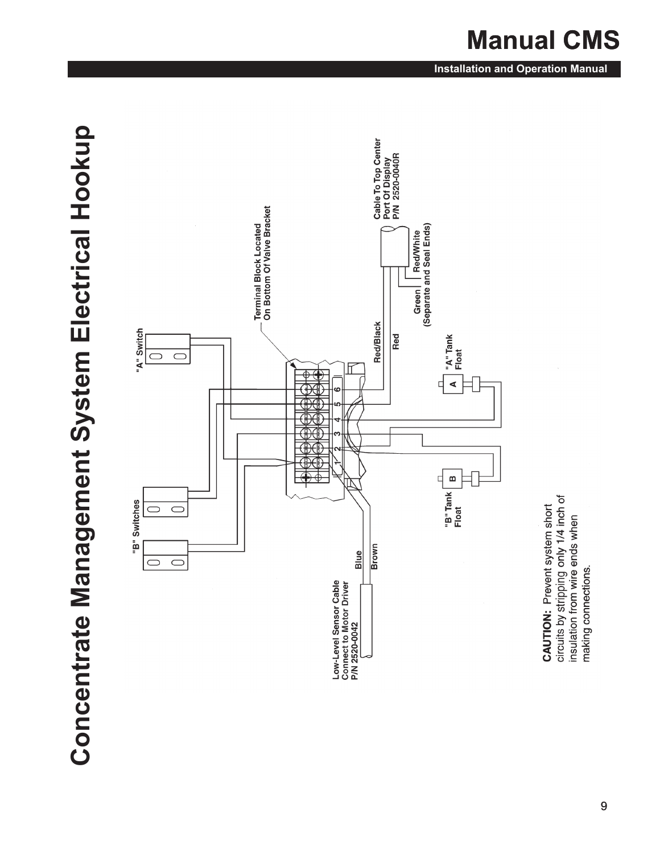# Concentrate Management System Electrical Hookup **Concentrate Management System Electrical Hookup**



circuits by stripping only 1/4 inch of<br>insulation from wire ends when **CAUTION: Prevent system short** making connections.

#### **Installation and Operation Manual**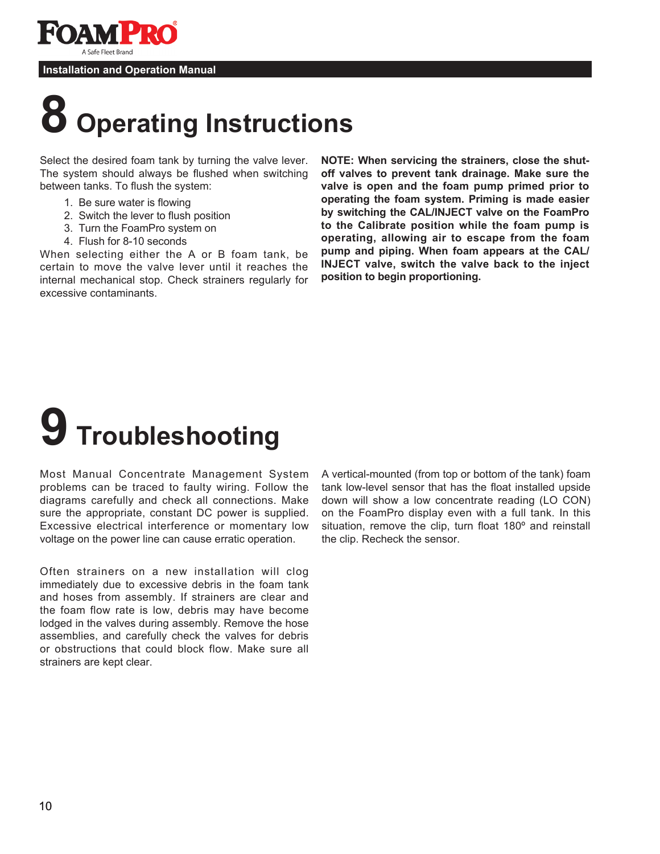

## **8 Operating Instructions**

Select the desired foam tank by turning the valve lever. The system should always be flushed when switching between tanks. To flush the system:

- 1. Be sure water is flowing
- 2. Switch the lever to flush position
- 3. Turn the FoamPro system on
- 4. Flush for 8-10 seconds

When selecting either the A or B foam tank, be certain to move the valve lever until it reaches the internal mechanical stop. Check strainers regularly for excessive contaminants.

**NOTE: When servicing the strainers, close the shutoff valves to prevent tank drainage. Make sure the valve is open and the foam pump primed prior to operating the foam system. Priming is made easier by switching the CAL/INJECT valve on the FoamPro to the Calibrate position while the foam pump is operating, allowing air to escape from the foam pump and piping. When foam appears at the CAL/ INJECT valve, switch the valve back to the inject position to begin proportioning.**

# **9 Troubleshooting**

Most Manual Concentrate Management System problems can be traced to faulty wiring. Follow the diagrams carefully and check all connections. Make sure the appropriate, constant DC power is supplied. Excessive electrical interference or momentary low voltage on the power line can cause erratic operation.

Often strainers on a new installation will clog immediately due to excessive debris in the foam tank and hoses from assembly. If strainers are clear and the foam flow rate is low, debris may have become lodged in the valves during assembly. Remove the hose assemblies, and carefully check the valves for debris or obstructions that could block flow. Make sure all strainers are kept clear.

A vertical-mounted (from top or bottom of the tank) foam tank low-level sensor that has the float installed upside down will show a low concentrate reading (LO CON) on the FoamPro display even with a full tank. In this situation, remove the clip, turn float 180<sup>°</sup> and reinstall the clip. Recheck the sensor.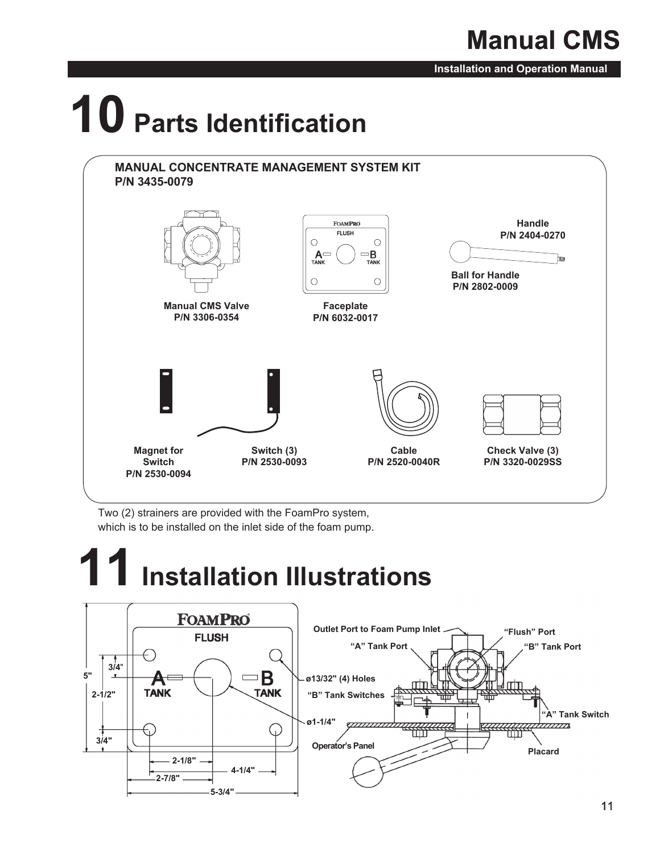## **Manual CMS**

**Installation and Operation Manual**

# **10 Parts Identification**



Two (2) strainers are provided with the FoamPro system, which is to be installed on the inlet side of the foam pump.

# **11 Installation Illustrations**